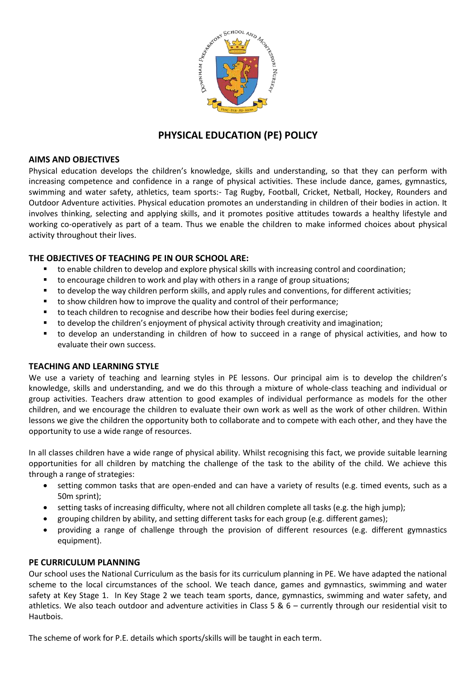

# **PHYSICAL EDUCATION (PE) POLICY**

## **AIMS AND OBJECTIVES**

Physical education develops the children's knowledge, skills and understanding, so that they can perform with increasing competence and confidence in a range of physical activities. These include dance, games, gymnastics, swimming and water safety, athletics, team sports:- Tag Rugby, Football, Cricket, Netball, Hockey, Rounders and Outdoor Adventure activities. Physical education promotes an understanding in children of their bodies in action. It involves thinking, selecting and applying skills, and it promotes positive attitudes towards a healthy lifestyle and working co-operatively as part of a team. Thus we enable the children to make informed choices about physical activity throughout their lives.

# **THE OBJECTIVES OF TEACHING PE IN OUR SCHOOL ARE:**

- to enable children to develop and explore physical skills with increasing control and coordination;
- to encourage children to work and play with others in a range of group situations;
- **tha** to develop the way children perform skills, and apply rules and conventions, for different activities;
- to show children how to improve the quality and control of their performance;
- to teach children to recognise and describe how their bodies feel during exercise;
- to develop the children's enjoyment of physical activity through creativity and imagination;
- to develop an understanding in children of how to succeed in a range of physical activities, and how to evaluate their own success.

#### **TEACHING AND LEARNING STYLE**

We use a variety of teaching and learning styles in PE lessons. Our principal aim is to develop the children's knowledge, skills and understanding, and we do this through a mixture of whole-class teaching and individual or group activities. Teachers draw attention to good examples of individual performance as models for the other children, and we encourage the children to evaluate their own work as well as the work of other children. Within lessons we give the children the opportunity both to collaborate and to compete with each other, and they have the opportunity to use a wide range of resources.

In all classes children have a wide range of physical ability. Whilst recognising this fact, we provide suitable learning opportunities for all children by matching the challenge of the task to the ability of the child. We achieve this through a range of strategies:

- setting common tasks that are open-ended and can have a variety of results (e.g. timed events, such as a 50m sprint);
- setting tasks of increasing difficulty, where not all children complete all tasks (e.g. the high jump);
- grouping children by ability, and setting different tasks for each group (e.g. different games);
- providing a range of challenge through the provision of different resources (e.g. different gymnastics equipment).

#### **PE CURRICULUM PLANNING**

Our school uses the National Curriculum as the basis for its curriculum planning in PE. We have adapted the national scheme to the local circumstances of the school. We teach dance, games and gymnastics, swimming and water safety at Key Stage 1. In Key Stage 2 we teach team sports, dance, gymnastics, swimming and water safety, and athletics. We also teach outdoor and adventure activities in Class 5 & 6 – currently through our residential visit to Hautbois.

The scheme of work for P.E. details which sports/skills will be taught in each term.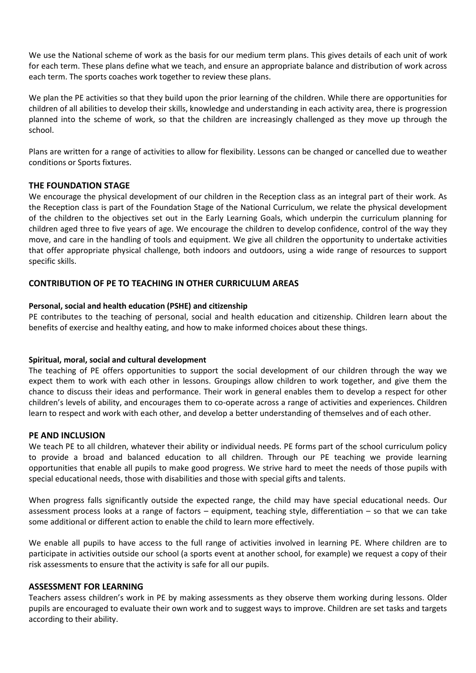We use the National scheme of work as the basis for our medium term plans. This gives details of each unit of work for each term. These plans define what we teach, and ensure an appropriate balance and distribution of work across each term. The sports coaches work together to review these plans.

We plan the PE activities so that they build upon the prior learning of the children. While there are opportunities for children of all abilities to develop their skills, knowledge and understanding in each activity area, there is progression planned into the scheme of work, so that the children are increasingly challenged as they move up through the school.

Plans are written for a range of activities to allow for flexibility. Lessons can be changed or cancelled due to weather conditions or Sports fixtures.

## **THE FOUNDATION STAGE**

We encourage the physical development of our children in the Reception class as an integral part of their work. As the Reception class is part of the Foundation Stage of the National Curriculum, we relate the physical development of the children to the objectives set out in the Early Learning Goals, which underpin the curriculum planning for children aged three to five years of age. We encourage the children to develop confidence, control of the way they move, and care in the handling of tools and equipment. We give all children the opportunity to undertake activities that offer appropriate physical challenge, both indoors and outdoors, using a wide range of resources to support specific skills.

## **CONTRIBUTION OF PE TO TEACHING IN OTHER CURRICULUM AREAS**

#### **Personal, social and health education (PSHE) and citizenship**

PE contributes to the teaching of personal, social and health education and citizenship. Children learn about the benefits of exercise and healthy eating, and how to make informed choices about these things.

#### **Spiritual, moral, social and cultural development**

The teaching of PE offers opportunities to support the social development of our children through the way we expect them to work with each other in lessons. Groupings allow children to work together, and give them the chance to discuss their ideas and performance. Their work in general enables them to develop a respect for other children's levels of ability, and encourages them to co-operate across a range of activities and experiences. Children learn to respect and work with each other, and develop a better understanding of themselves and of each other.

#### **PE AND INCLUSION**

We teach PE to all children, whatever their ability or individual needs. PE forms part of the school curriculum policy to provide a broad and balanced education to all children. Through our PE teaching we provide learning opportunities that enable all pupils to make good progress. We strive hard to meet the needs of those pupils with special educational needs, those with disabilities and those with special gifts and talents.

When progress falls significantly outside the expected range, the child may have special educational needs. Our assessment process looks at a range of factors – equipment, teaching style, differentiation – so that we can take some additional or different action to enable the child to learn more effectively.

We enable all pupils to have access to the full range of activities involved in learning PE. Where children are to participate in activities outside our school (a sports event at another school, for example) we request a copy of their risk assessments to ensure that the activity is safe for all our pupils.

#### **ASSESSMENT FOR LEARNING**

Teachers assess children's work in PE by making assessments as they observe them working during lessons. Older pupils are encouraged to evaluate their own work and to suggest ways to improve. Children are set tasks and targets according to their ability.